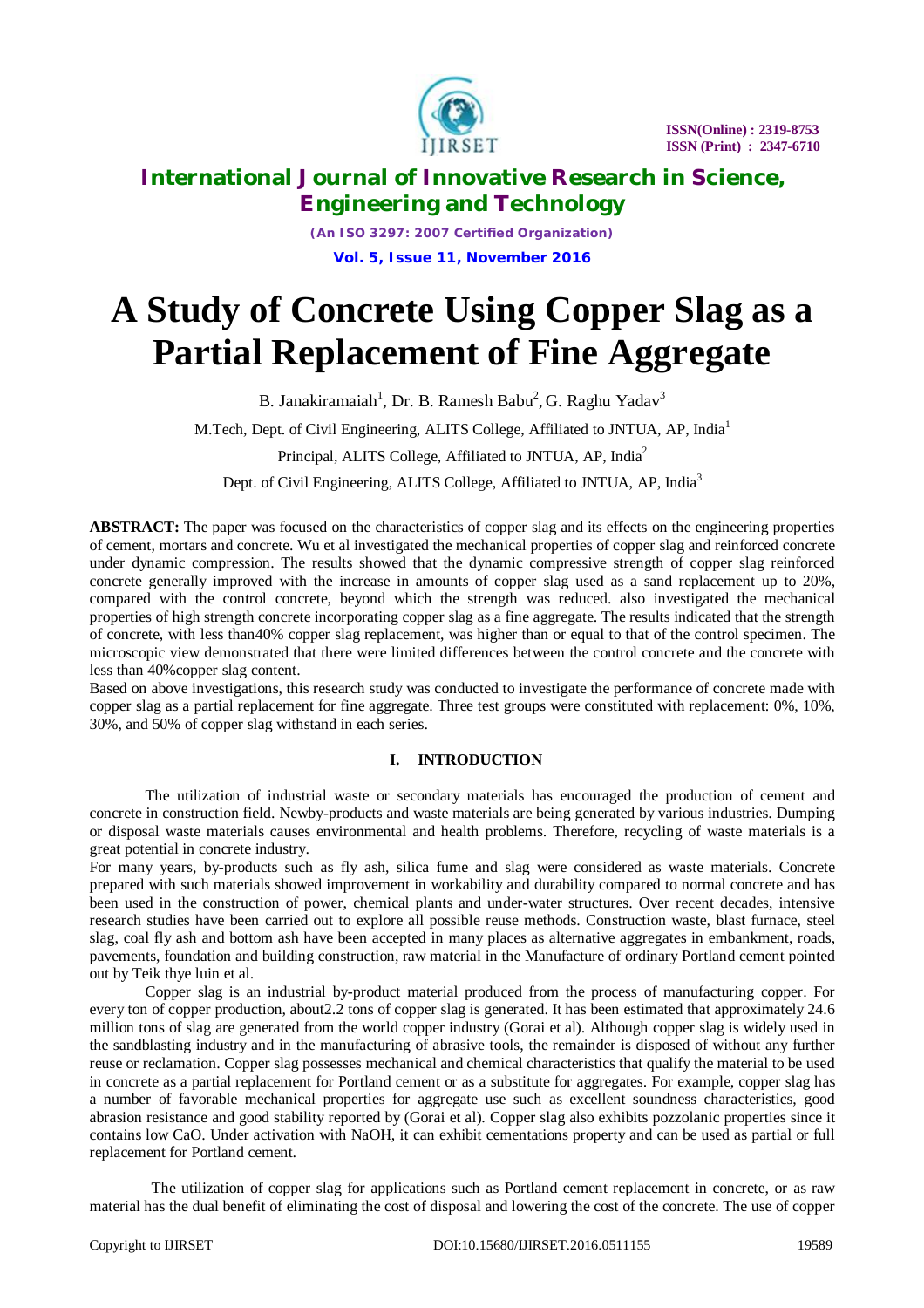

*(An ISO 3297: 2007 Certified Organization)* **Vol. 5, Issue 11, November 2016**

# **A Study of Concrete Using Copper Slag as a Partial Replacement of Fine Aggregate**

B. Janakiramaiah<sup>1</sup>, Dr. B. Ramesh Babu<sup>2</sup>, G. Raghu Yadav<sup>3</sup>

M.Tech, Dept. of Civil Engineering, ALITS College, Affiliated to JNTUA, AP, India<sup>1</sup>

Principal, ALITS College, Affiliated to JNTUA, AP, India<sup>2</sup>

Dept. of Civil Engineering, ALITS College, Affiliated to JNTUA, AP, India<sup>3</sup>

**ABSTRACT:** The paper was focused on the characteristics of copper slag and its effects on the engineering properties of cement, mortars and concrete. Wu et al investigated the mechanical properties of copper slag and reinforced concrete under dynamic compression. The results showed that the dynamic compressive strength of copper slag reinforced concrete generally improved with the increase in amounts of copper slag used as a sand replacement up to 20%, compared with the control concrete, beyond which the strength was reduced. also investigated the mechanical properties of high strength concrete incorporating copper slag as a fine aggregate. The results indicated that the strength of concrete, with less than40% copper slag replacement, was higher than or equal to that of the control specimen. The microscopic view demonstrated that there were limited differences between the control concrete and the concrete with less than 40%copper slag content.

Based on above investigations, this research study was conducted to investigate the performance of concrete made with copper slag as a partial replacement for fine aggregate. Three test groups were constituted with replacement: 0%, 10%, 30%, and 50% of copper slag withstand in each series.

### **I. INTRODUCTION**

The utilization of industrial waste or secondary materials has encouraged the production of cement and concrete in construction field. Newby-products and waste materials are being generated by various industries. Dumping or disposal waste materials causes environmental and health problems. Therefore, recycling of waste materials is a great potential in concrete industry.

For many years, by-products such as fly ash, silica fume and slag were considered as waste materials. Concrete prepared with such materials showed improvement in workability and durability compared to normal concrete and has been used in the construction of power, chemical plants and under-water structures. Over recent decades, intensive research studies have been carried out to explore all possible reuse methods. Construction waste, blast furnace, steel slag, coal fly ash and bottom ash have been accepted in many places as alternative aggregates in embankment, roads, pavements, foundation and building construction, raw material in the Manufacture of ordinary Portland cement pointed out by Teik thye luin et al.

Copper slag is an industrial by-product material produced from the process of manufacturing copper. For every ton of copper production, about2.2 tons of copper slag is generated. It has been estimated that approximately 24.6 million tons of slag are generated from the world copper industry (Gorai et al). Although copper slag is widely used in the sandblasting industry and in the manufacturing of abrasive tools, the remainder is disposed of without any further reuse or reclamation. Copper slag possesses mechanical and chemical characteristics that qualify the material to be used in concrete as a partial replacement for Portland cement or as a substitute for aggregates. For example, copper slag has a number of favorable mechanical properties for aggregate use such as excellent soundness characteristics, good abrasion resistance and good stability reported by (Gorai et al). Copper slag also exhibits pozzolanic properties since it contains low CaO. Under activation with NaOH, it can exhibit cementations property and can be used as partial or full replacement for Portland cement.

 The utilization of copper slag for applications such as Portland cement replacement in concrete, or as raw material has the dual benefit of eliminating the cost of disposal and lowering the cost of the concrete. The use of copper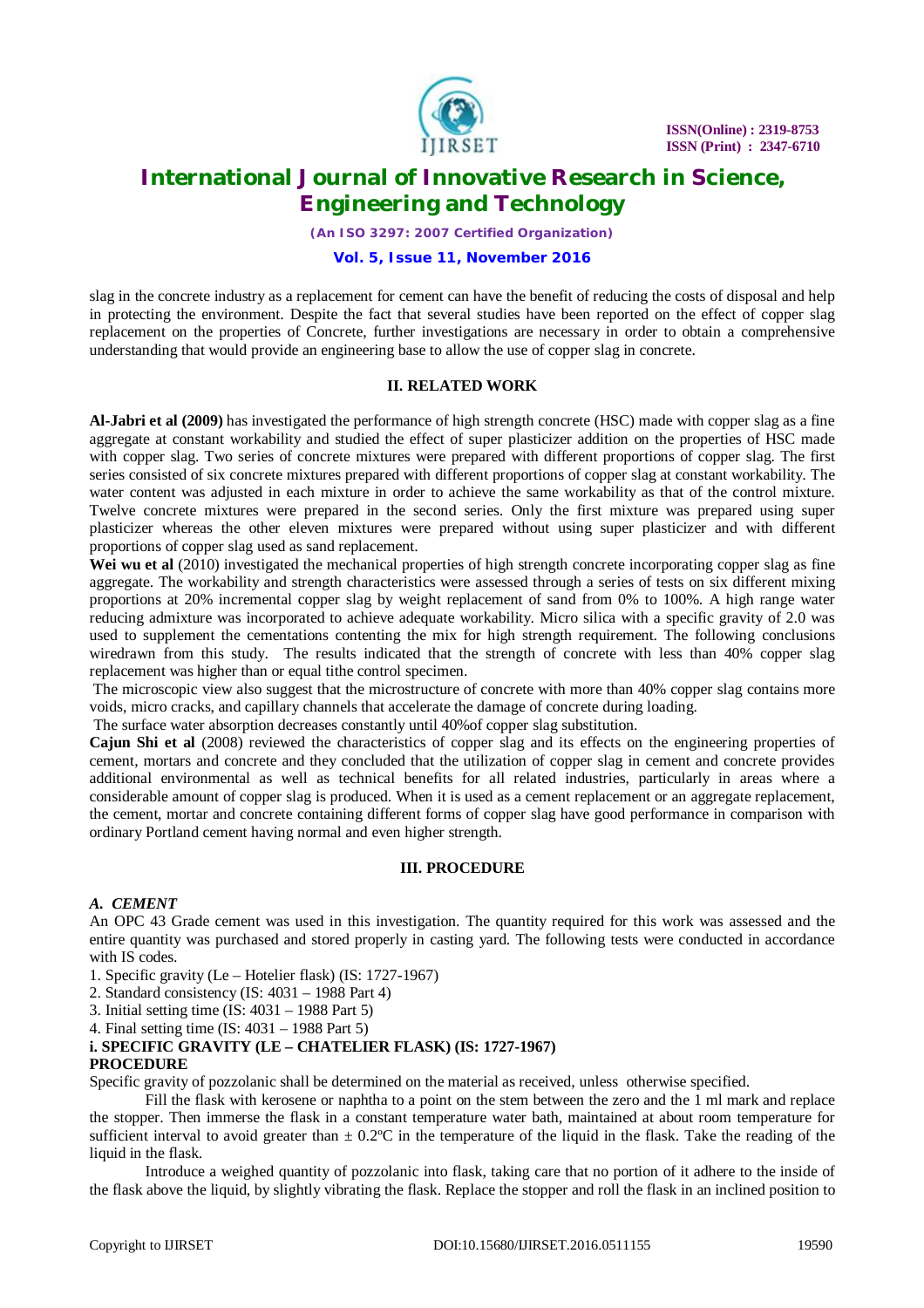

*(An ISO 3297: 2007 Certified Organization)*

#### **Vol. 5, Issue 11, November 2016**

slag in the concrete industry as a replacement for cement can have the benefit of reducing the costs of disposal and help in protecting the environment. Despite the fact that several studies have been reported on the effect of copper slag replacement on the properties of Concrete, further investigations are necessary in order to obtain a comprehensive understanding that would provide an engineering base to allow the use of copper slag in concrete.

#### **II. RELATED WORK**

**Al-Jabri et al (2009)** has investigated the performance of high strength concrete (HSC) made with copper slag as a fine aggregate at constant workability and studied the effect of super plasticizer addition on the properties of HSC made with copper slag. Two series of concrete mixtures were prepared with different proportions of copper slag. The first series consisted of six concrete mixtures prepared with different proportions of copper slag at constant workability. The water content was adjusted in each mixture in order to achieve the same workability as that of the control mixture. Twelve concrete mixtures were prepared in the second series. Only the first mixture was prepared using super plasticizer whereas the other eleven mixtures were prepared without using super plasticizer and with different proportions of copper slag used as sand replacement.

Wei wu et al (2010) investigated the mechanical properties of high strength concrete incorporating copper slag as fine aggregate. The workability and strength characteristics were assessed through a series of tests on six different mixing proportions at 20% incremental copper slag by weight replacement of sand from 0% to 100%. A high range water reducing admixture was incorporated to achieve adequate workability. Micro silica with a specific gravity of 2.0 was used to supplement the cementations contenting the mix for high strength requirement. The following conclusions wiredrawn from this study. The results indicated that the strength of concrete with less than 40% copper slag replacement was higher than or equal tithe control specimen.

The microscopic view also suggest that the microstructure of concrete with more than 40% copper slag contains more voids, micro cracks, and capillary channels that accelerate the damage of concrete during loading.

The surface water absorption decreases constantly until 40%of copper slag substitution.

**Cajun Shi et al** (2008) reviewed the characteristics of copper slag and its effects on the engineering properties of cement, mortars and concrete and they concluded that the utilization of copper slag in cement and concrete provides additional environmental as well as technical benefits for all related industries, particularly in areas where a considerable amount of copper slag is produced. When it is used as a cement replacement or an aggregate replacement, the cement, mortar and concrete containing different forms of copper slag have good performance in comparison with ordinary Portland cement having normal and even higher strength.

#### **III. PROCEDURE**

#### *A. CEMENT*

An OPC 43 Grade cement was used in this investigation. The quantity required for this work was assessed and the entire quantity was purchased and stored properly in casting yard. The following tests were conducted in accordance with IS codes.

- 1. Specific gravity (Le Hotelier flask) (IS: 1727-1967)
- 2. Standard consistency (IS: 4031 1988 Part 4)
- 3. Initial setting time (IS: 4031 1988 Part 5)
- 4. Final setting time (IS: 4031 1988 Part 5)

# **i. SPECIFIC GRAVITY (LE – CHATELIER FLASK) (IS: 1727-1967)**

### **PROCEDURE**

Specific gravity of pozzolanic shall be determined on the material as received, unless otherwise specified.

Fill the flask with kerosene or naphtha to a point on the stem between the zero and the 1 ml mark and replace the stopper. Then immerse the flask in a constant temperature water bath, maintained at about room temperature for sufficient interval to avoid greater than  $\pm 0.2^{\circ}$ C in the temperature of the liquid in the flask. Take the reading of the liquid in the flask.

Introduce a weighed quantity of pozzolanic into flask, taking care that no portion of it adhere to the inside of the flask above the liquid, by slightly vibrating the flask. Replace the stopper and roll the flask in an inclined position to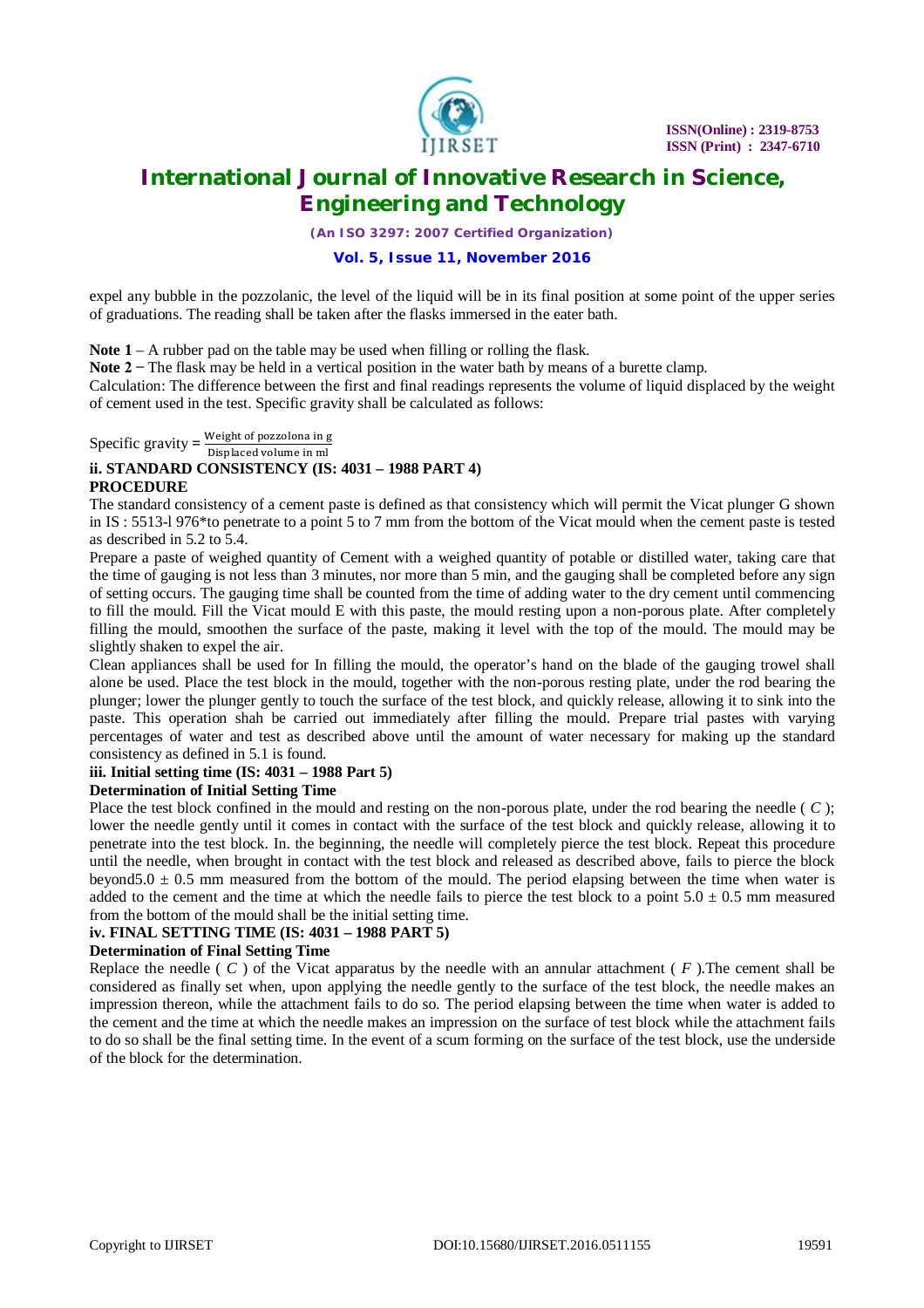

*(An ISO 3297: 2007 Certified Organization)*

#### **Vol. 5, Issue 11, November 2016**

expel any bubble in the pozzolanic, the level of the liquid will be in its final position at some point of the upper series of graduations. The reading shall be taken after the flasks immersed in the eater bath.

**Note 1** – A rubber pad on the table may be used when filling or rolling the flask.

Note 2 – The flask may be held in a vertical position in the water bath by means of a burette clamp.

Calculation: The difference between the first and final readings represents the volume of liquid displaced by the weight of cement used in the test. Specific gravity shall be calculated as follows:

Specific gravity  $=$   $\frac{\text{Weight of pozolona in g}}{\text{Displaced volume in m!}}$ 

### Displaced volume in ml **ii. STANDARD CONSISTENCY (IS: 4031 – 1988 PART 4)**

#### **PROCEDURE**

The standard consistency of a cement paste is defined as that consistency which will permit the Vicat plunger G shown in IS : 5513-l 976\*to penetrate to a point 5 to 7 mm from the bottom of the Vicat mould when the cement paste is tested as described in 5.2 to 5.4.

Prepare a paste of weighed quantity of Cement with a weighed quantity of potable or distilled water, taking care that the time of gauging is not less than 3 minutes, nor more than 5 min, and the gauging shall be completed before any sign of setting occurs. The gauging time shall be counted from the time of adding water to the dry cement until commencing to fill the mould. Fill the Vicat mould E with this paste, the mould resting upon a non-porous plate. After completely filling the mould, smoothen the surface of the paste, making it level with the top of the mould. The mould may be slightly shaken to expel the air.

Clean appliances shall be used for In filling the mould, the operator's hand on the blade of the gauging trowel shall alone be used. Place the test block in the mould, together with the non-porous resting plate, under the rod bearing the plunger; lower the plunger gently to touch the surface of the test block, and quickly release, allowing it to sink into the paste. This operation shah be carried out immediately after filling the mould. Prepare trial pastes with varying percentages of water and test as described above until the amount of water necessary for making up the standard consistency as defined in 5.1 is found.

### **iii. Initial setting time (IS: 4031 – 1988 Part 5)**

### **Determination of Initial Setting Time**

Place the test block confined in the mould and resting on the non-porous plate, under the rod bearing the needle ( *C* ); lower the needle gently until it comes in contact with the surface of the test block and quickly release, allowing it to penetrate into the test block. In. the beginning, the needle will completely pierce the test block. Repeat this procedure until the needle, when brought in contact with the test block and released as described above, fails to pierce the block beyond5.0  $\pm$  0.5 mm measured from the bottom of the mould. The period elapsing between the time when water is added to the cement and the time at which the needle fails to pierce the test block to a point  $5.0 \pm 0.5$  mm measured from the bottom of the mould shall be the initial setting time.

#### **iv. FINAL SETTING TIME (IS: 4031 – 1988 PART 5)**

#### **Determination of Final Setting Time**

Replace the needle  $(C)$  of the Vicat apparatus by the needle with an annular attachment  $(F)$ . The cement shall be considered as finally set when, upon applying the needle gently to the surface of the test block, the needle makes an impression thereon, while the attachment fails to do so. The period elapsing between the time when water is added to the cement and the time at which the needle makes an impression on the surface of test block while the attachment fails to do so shall be the final setting time. In the event of a scum forming on the surface of the test block, use the underside of the block for the determination.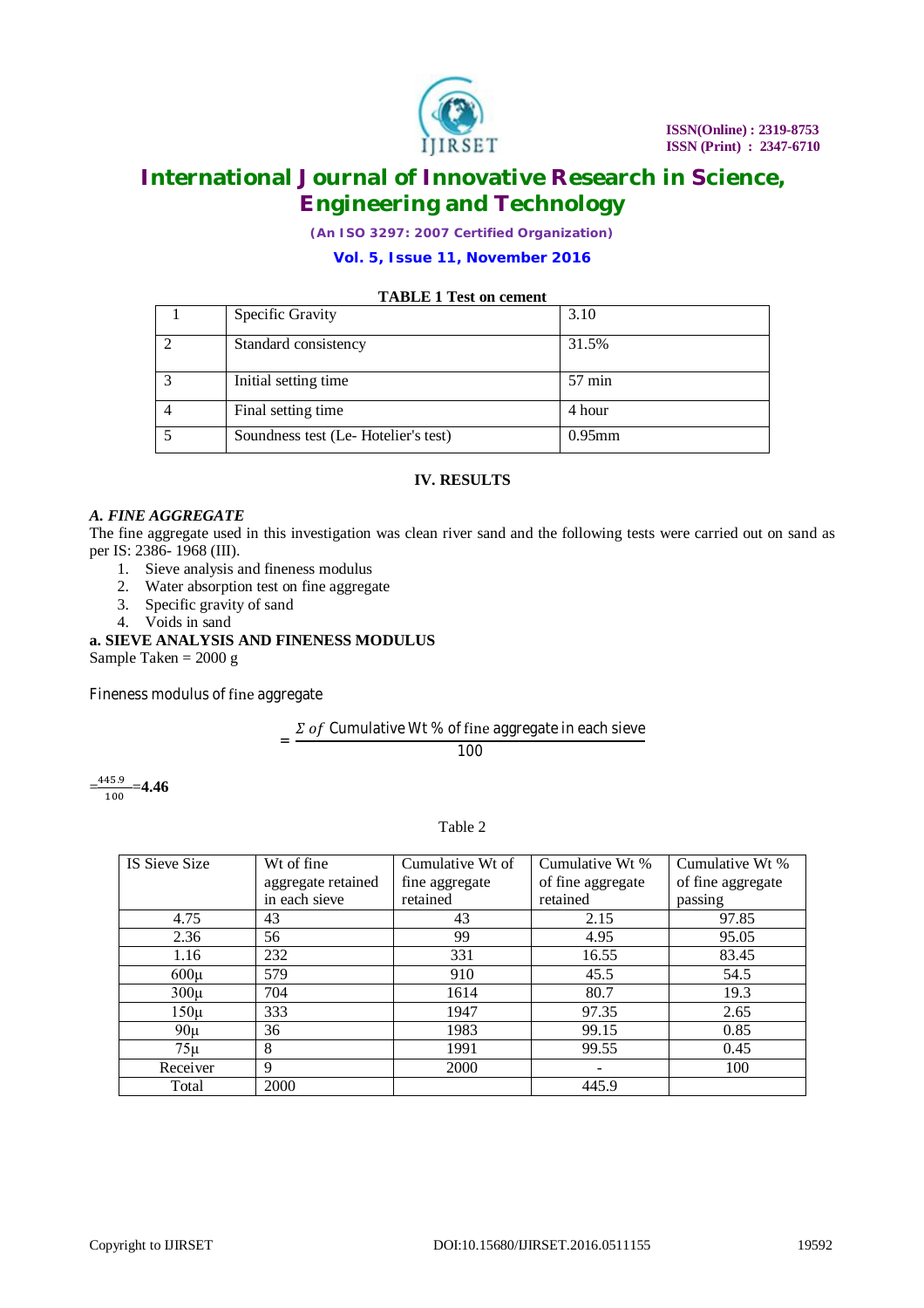

*(An ISO 3297: 2007 Certified Organization)*

### **Vol. 5, Issue 11, November 2016**

#### **TABLE 1 Test on cement**

|              | Specific Gravity                    | 3.10             |
|--------------|-------------------------------------|------------------|
|              | Standard consistency                | 31.5%            |
| $\mathbf{r}$ | Initial setting time                | $57 \text{ min}$ |
|              | Final setting time                  | 4 hour           |
|              | Soundness test (Le-Hotelier's test) | $0.95$ mm        |

#### **IV. RESULTS**

#### *A. FINE AGGREGATE*

The fine aggregate used in this investigation was clean river sand and the following tests were carried out on sand as per IS: 2386- 1968 (III).

- 1. Sieve analysis and fineness modulus
- 2. Water absorption test on fine aggregate
- 3. Specific gravity of sand
- 4. Voids in sand

### **a. SIEVE ANALYSIS AND FINENESS MODULUS**

Sample Taken = 2000 g

Fineness modulus of fine aggregate

# $=\frac{\Sigma\;of\;Cumulative\;Wt\;\% \;of\;fine\;aggregate\;in\;each\;sieve}{100}$

100

 $=\frac{445.9}{100}$  $\frac{43.9}{100}$  = 4.46

Table 2

| IS Sieve Size | Wt of fine         | Cumulative Wt of | Cumulative Wt %   | Cumulative Wt %   |
|---------------|--------------------|------------------|-------------------|-------------------|
|               | aggregate retained | fine aggregate   | of fine aggregate | of fine aggregate |
|               | in each sieve      | retained         | retained          | passing           |
| 4.75          | 43                 | 43               | 2.15              | 97.85             |
| 2.36          | 56                 | 99               | 4.95              | 95.05             |
| 1.16          | 232                | 331              | 16.55             | 83.45             |
| $600\mu$      | 579                | 910              | 45.5              | 54.5              |
| $300\mu$      | 704                | 1614             | 80.7              | 19.3              |
| $150\mu$      | 333                | 1947             | 97.35             | 2.65              |
| $90\mu$       | 36                 | 1983             | 99.15             | 0.85              |
| $75\mu$       | 8                  | 1991             | 99.55             | 0.45              |
| Receiver      | 9                  | 2000             | -                 | 100               |
| Total         | 2000               |                  | 445.9             |                   |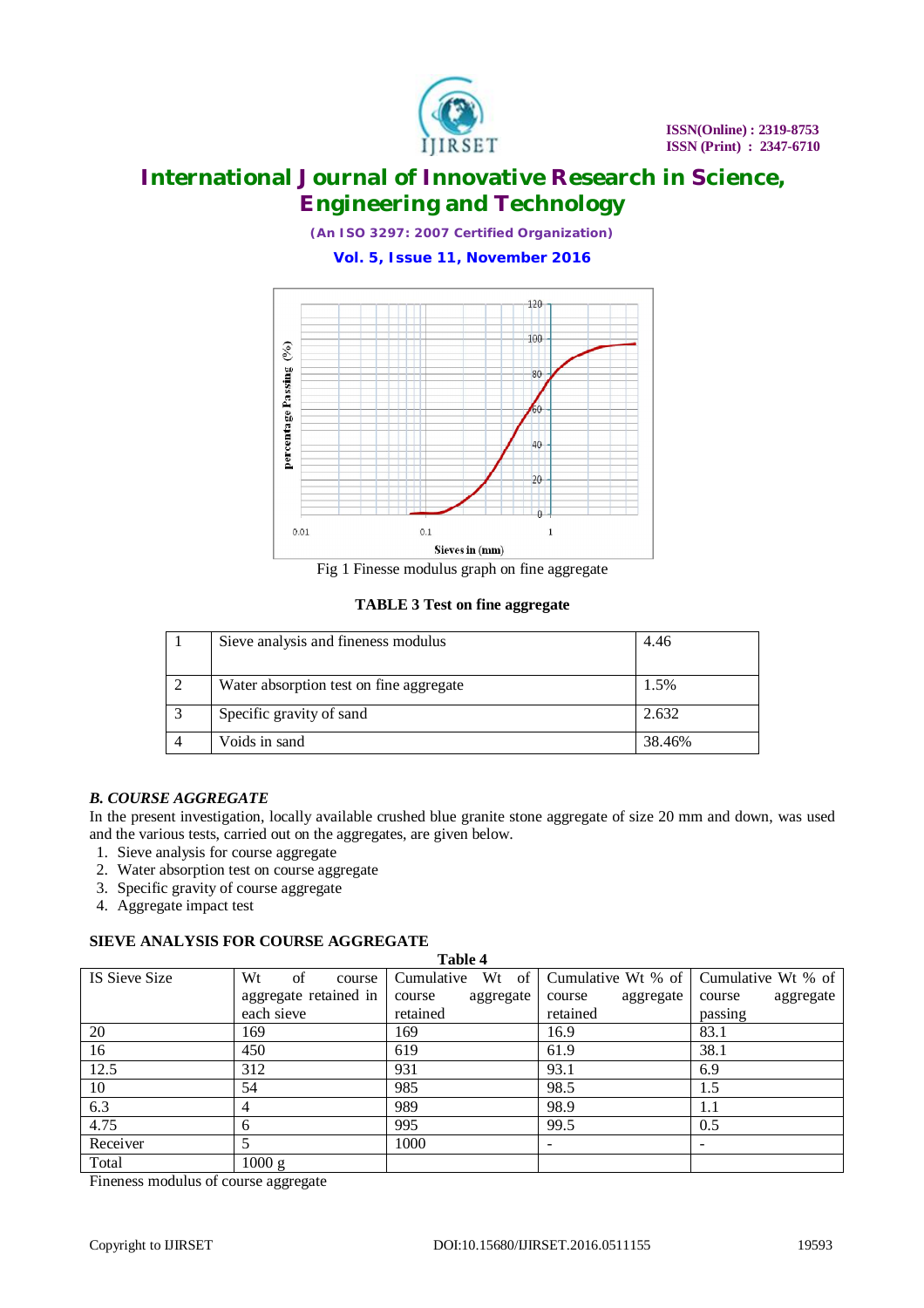

*(An ISO 3297: 2007 Certified Organization)*

### **Vol. 5, Issue 11, November 2016**



Fig 1 Finesse modulus graph on fine aggregate

**TABLE 3 Test on fine aggregate**

| Sieve analysis and fineness modulus     | 4.46   |
|-----------------------------------------|--------|
| Water absorption test on fine aggregate | 1.5%   |
| Specific gravity of sand                | 2.632  |
| Voids in sand                           | 38.46% |

#### *B. COURSE AGGREGATE*

In the present investigation, locally available crushed blue granite stone aggregate of size 20 mm and down, was used and the various tests, carried out on the aggregates, are given below.

- 1. Sieve analysis for course aggregate
- 2. Water absorption test on course aggregate
- 3. Specific gravity of course aggregate
- 4. Aggregate impact test

### **SIEVE ANALYSIS FOR COURSE AGGREGATE**

|               | 910 TO MULDI 910 I VA COUNDO NO GADONI 11 |                     |                     |                     |  |  |  |  |  |
|---------------|-------------------------------------------|---------------------|---------------------|---------------------|--|--|--|--|--|
|               | Table 4                                   |                     |                     |                     |  |  |  |  |  |
| IS Sieve Size | Wt<br>of<br>course                        | Wt of<br>Cumulative | Cumulative Wt % of  | Cumulative Wt % of  |  |  |  |  |  |
|               | aggregate retained in                     | aggregate<br>course | aggregate<br>course | aggregate<br>course |  |  |  |  |  |
|               | each sieve                                | retained            | retained            | passing             |  |  |  |  |  |
| 20            | 169                                       | 169                 | 16.9                | 83.1                |  |  |  |  |  |
| 16            | 450                                       | 619                 | 61.9                | 38.1                |  |  |  |  |  |
| 12.5          | 312                                       | 931                 | 93.1                | 6.9                 |  |  |  |  |  |
| 10            | 54                                        | 985                 | 98.5                | 1.5                 |  |  |  |  |  |
| 6.3           |                                           | 989                 | 98.9                | 1.1                 |  |  |  |  |  |
| 4.75          | 6                                         | 995                 | 99.5                | 0.5                 |  |  |  |  |  |
| Receiver      |                                           | 1000                |                     |                     |  |  |  |  |  |
| Total         | 1000 g                                    |                     |                     |                     |  |  |  |  |  |

Fineness modulus of course aggregate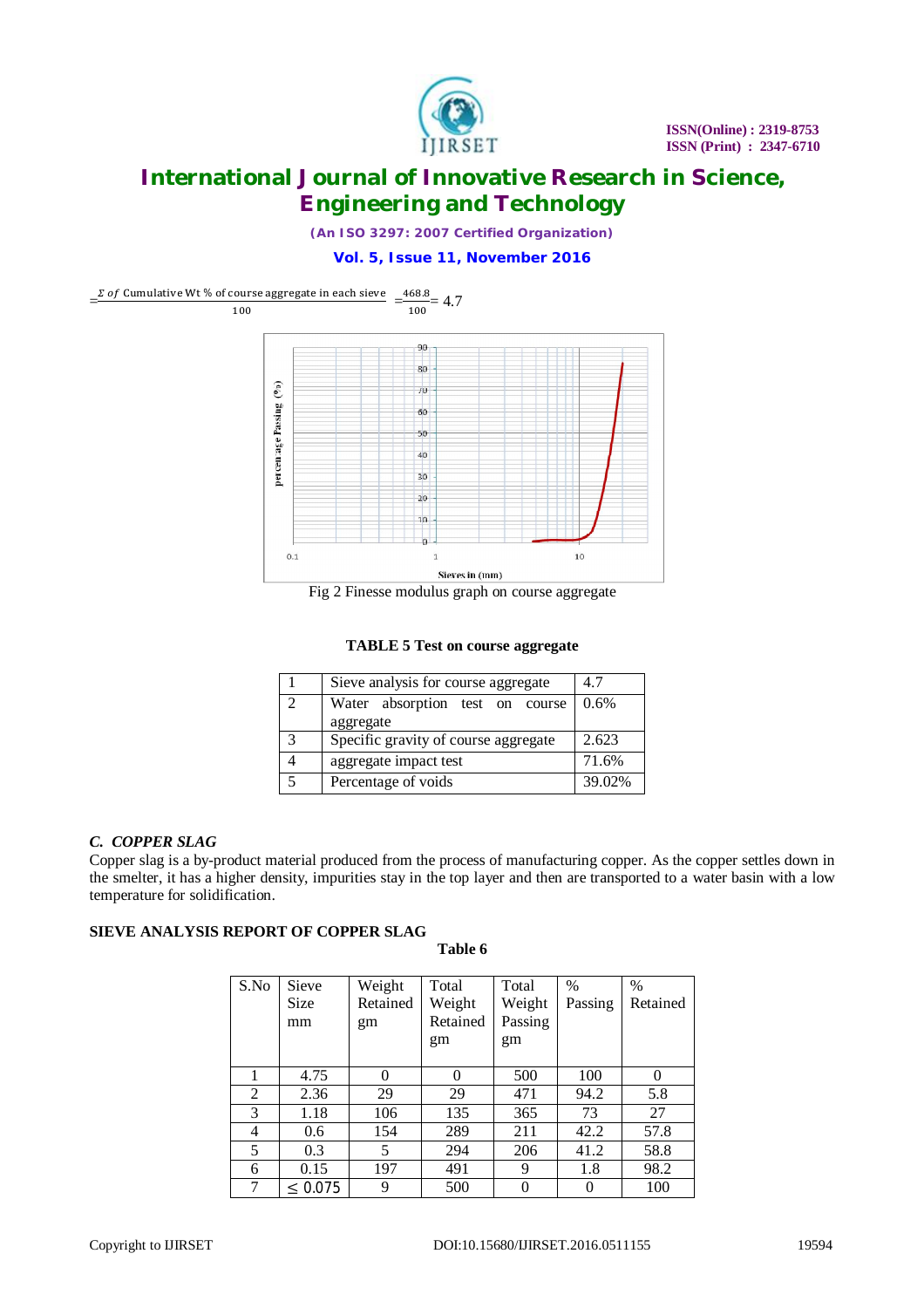

*(An ISO 3297: 2007 Certified Organization)*

#### **Vol. 5, Issue 11, November 2016**



**TABLE 5 Test on course aggregate**

|                             | Sieve analysis for course aggregate          | 4.7      |
|-----------------------------|----------------------------------------------|----------|
| $\mathcal{D}_{\mathcal{L}}$ | Water absorption test on course<br>aggregate | $10.6\%$ |
| ζ                           | Specific gravity of course aggregate         | 2.623    |
|                             | aggregate impact test                        | 71.6%    |
|                             | Percentage of voids                          | 39.02%   |

#### *C. COPPER SLAG*

Copper slag is a by-product material produced from the process of manufacturing copper. As the copper settles down in the smelter, it has a higher density, impurities stay in the top layer and then are transported to a water basin with a low temperature for solidification.

### **SIEVE ANALYSIS REPORT OF COPPER SLAG**

| Table 6 |  |
|---------|--|
|---------|--|

| S.No | Sieve<br><b>Size</b><br>mm | Weight<br>Retained<br>gm | Total<br>Weight<br>Retained<br>gm | Total<br>Weight<br>Passing<br>gm | $\%$<br>Passing | $\%$<br>Retained |
|------|----------------------------|--------------------------|-----------------------------------|----------------------------------|-----------------|------------------|
| 1    | 4.75                       | 0                        | 0                                 | 500                              | 100             |                  |
| 2    | 2.36                       | 29                       | 29                                | 471                              | 94.2            | 5.8              |
| 3    | 1.18                       | 106                      | 135                               | 365                              | 73              | 27               |
| 4    | 0.6                        | 154                      | 289                               | 211                              | 42.2            | 57.8             |
| 5    | 0.3                        | 5                        | 294                               | 206                              | 41.2            | 58.8             |
| 6    | 0.15                       | 197                      | 491                               | 9                                | 1.8             | 98.2             |
| 7    | $\leq 0.075$               | 9                        | 500                               | $\theta$                         | 0               | 100              |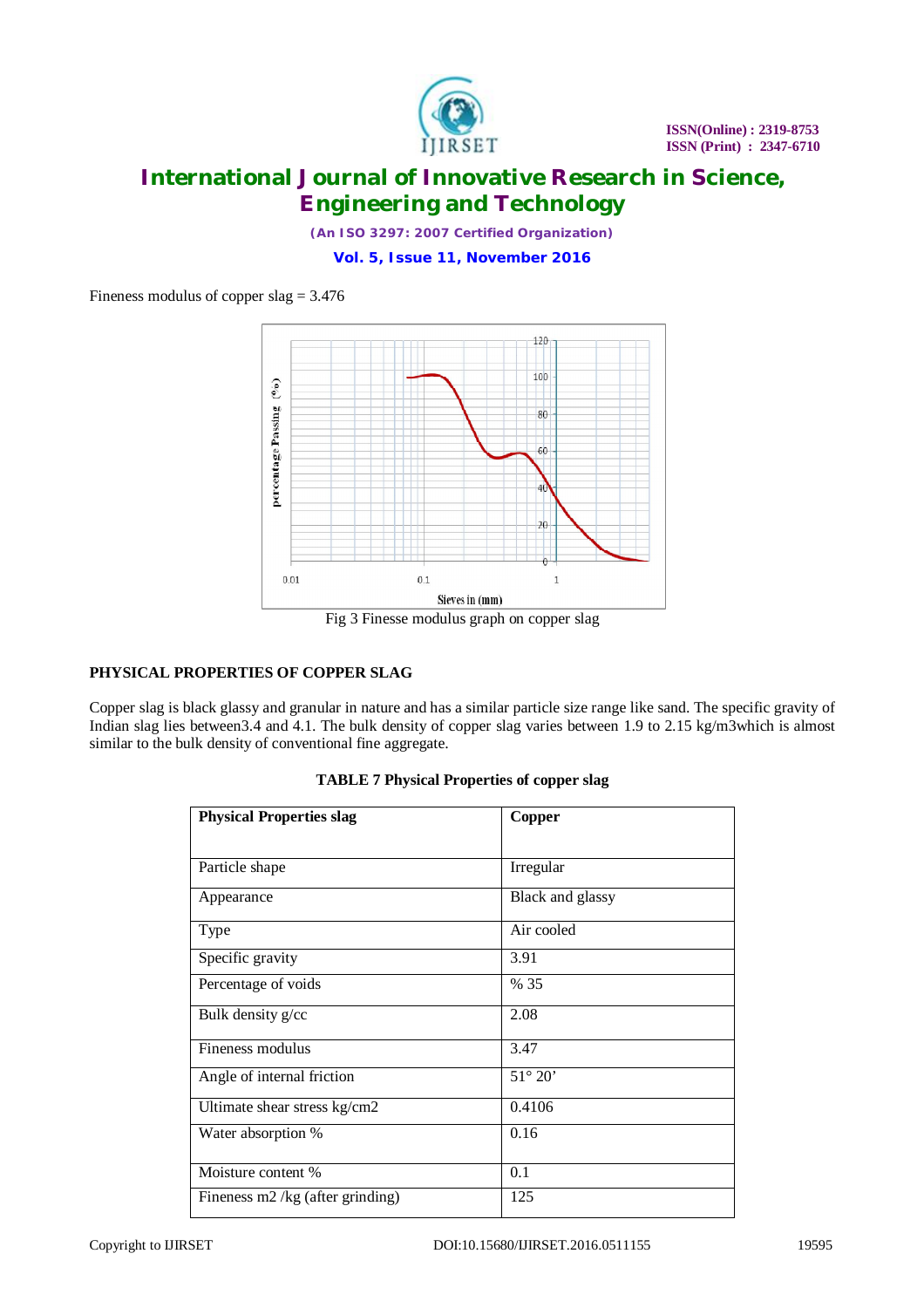

*(An ISO 3297: 2007 Certified Organization)*

**Vol. 5, Issue 11, November 2016**

Fineness modulus of copper slag = 3.476



Fig 3 Finesse modulus graph on copper slag

### **PHYSICAL PROPERTIES OF COPPER SLAG**

Copper slag is black glassy and granular in nature and has a similar particle size range like sand. The specific gravity of Indian slag lies between3.4 and 4.1. The bulk density of copper slag varies between 1.9 to 2.15 kg/m3which is almost similar to the bulk density of conventional fine aggregate.

| <b>Physical Properties slag</b>  | Copper           |
|----------------------------------|------------------|
|                                  |                  |
| Particle shape                   | Irregular        |
| Appearance                       | Black and glassy |
| Type                             | Air cooled       |
| Specific gravity                 | 3.91             |
| Percentage of voids              | % 35             |
| Bulk density g/cc                | 2.08             |
| Fineness modulus                 | 3.47             |
| Angle of internal friction       | $51^{\circ} 20'$ |
| Ultimate shear stress kg/cm2     | 0.4106           |
| Water absorption %               | 0.16             |
| Moisture content %               | 0.1              |
| Fineness m2 /kg (after grinding) | 125              |

|  | <b>TABLE 7 Physical Properties of copper slag</b> |  |  |
|--|---------------------------------------------------|--|--|
|  |                                                   |  |  |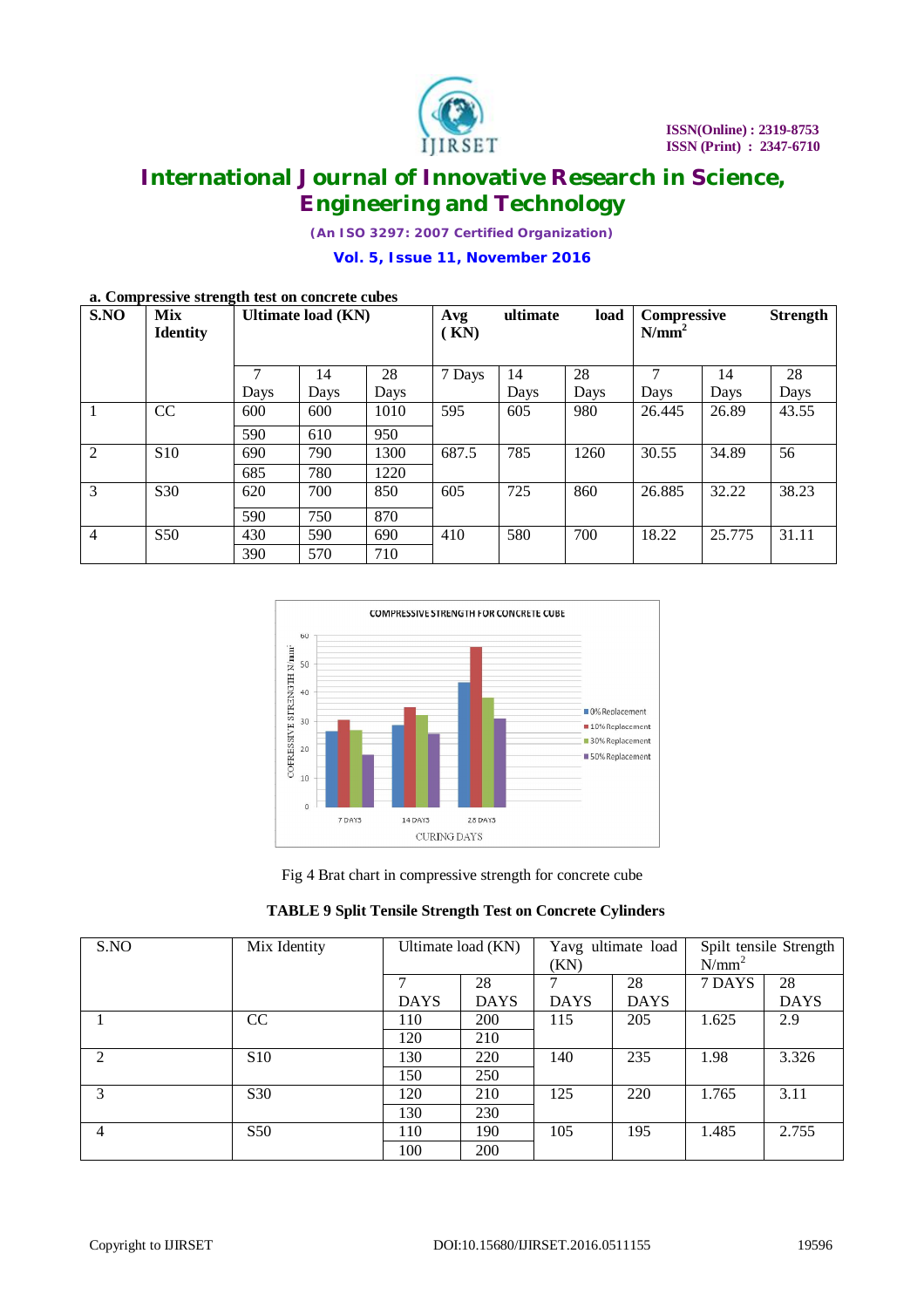

*(An ISO 3297: 2007 Certified Organization)*

**Vol. 5, Issue 11, November 2016**

|                | a. Compressive strength test on concrete cubes |                    |      |            |          |      |                                |        |                 |       |
|----------------|------------------------------------------------|--------------------|------|------------|----------|------|--------------------------------|--------|-----------------|-------|
| S.NO           | <b>Mix</b><br><b>Identity</b>                  | Ultimate load (KN) |      | Avg<br>KN) | ultimate | load | <b>Compressive</b><br>$N/mm^2$ |        | <b>Strength</b> |       |
|                |                                                |                    | 14   | 28         | 7 Days   | 14   | 28                             |        | 14              | 28    |
|                |                                                | Days               | Days | Days       |          | Days | Days                           | Days   | Days            | Days  |
|                | CC                                             | 600                | 600  | 1010       | 595      | 605  | 980                            | 26.445 | 26.89           | 43.55 |
|                |                                                | 590                | 610  | 950        |          |      |                                |        |                 |       |
| 2              | <b>S10</b>                                     | 690                | 790  | 1300       | 687.5    | 785  | 1260                           | 30.55  | 34.89           | 56    |
|                |                                                | 685                | 780  | 1220       |          |      |                                |        |                 |       |
| 3              | S <sub>30</sub>                                | 620                | 700  | 850        | 605      | 725  | 860                            | 26.885 | 32.22           | 38.23 |
|                |                                                | 590                | 750  | 870        |          |      |                                |        |                 |       |
| $\overline{4}$ | <b>S50</b>                                     | 430                | 590  | 690        | 410      | 580  | 700                            | 18.22  | 25.775          | 31.11 |
|                |                                                | 390                | 570  | 710        |          |      |                                |        |                 |       |

#### **a. Compressive strength test on concrete cubes**



Fig 4 Brat chart in compressive strength for concrete cube

| <b>TABLE 9 Split Tensile Strength Test on Concrete Cylinders</b> |  |  |  |  |  |
|------------------------------------------------------------------|--|--|--|--|--|
|------------------------------------------------------------------|--|--|--|--|--|

| S.NO           | Mix Identity    | Ultimate load (KN) |             | (KN)        | Yavg ultimate load | Spilt tensile Strength<br>$N/mm^2$ |             |
|----------------|-----------------|--------------------|-------------|-------------|--------------------|------------------------------------|-------------|
|                |                 |                    | 28          |             | 28                 | 7 DAYS                             | 28          |
|                |                 | <b>DAYS</b>        | <b>DAYS</b> | <b>DAYS</b> | <b>DAYS</b>        |                                    | <b>DAYS</b> |
|                | CC              | 110                | <b>200</b>  | 115         | 205                | 1.625                              | 2.9         |
|                |                 | 120                | 210         |             |                    |                                    |             |
| $\mathfrak{D}$ | <b>S10</b>      | 130                | 220         | 140         | 235                | 1.98                               | 3.326       |
|                |                 | 150                | 250         |             |                    |                                    |             |
| 3              | S <sub>30</sub> | 120                | 210         | 125         | 220                | 1.765                              | 3.11        |
|                |                 | 130                | 230         |             |                    |                                    |             |
| 4              | S <sub>50</sub> | 110                | 190         | 105         | 195                | 1.485                              | 2.755       |
|                |                 | 100                | <b>200</b>  |             |                    |                                    |             |